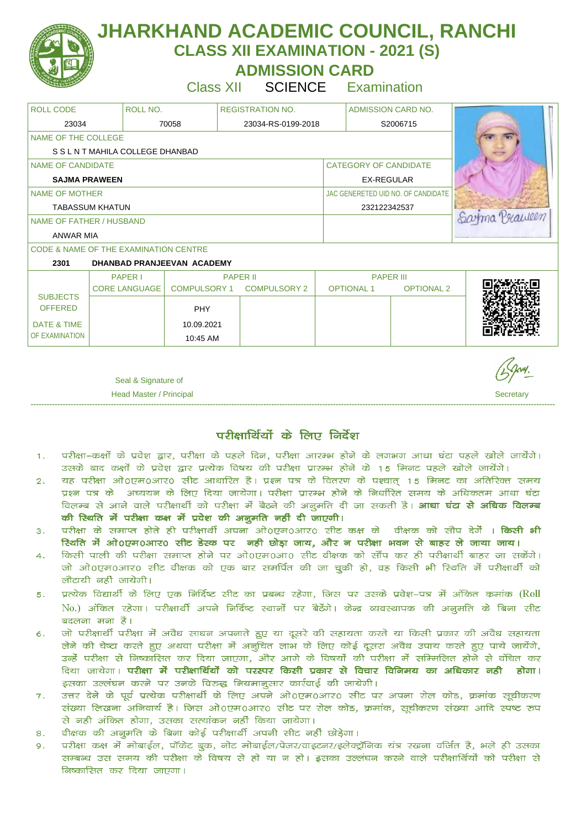

 **ADMISSION CARD** 

Class XII SCIENCE Examination

| <b>ROLL CODE</b>                 | ROLL NO.                                         |                     | <b>REGISTRATION NO.</b> |                              | <b>ADMISSION CARD NO.</b> |                                    |              |
|----------------------------------|--------------------------------------------------|---------------------|-------------------------|------------------------------|---------------------------|------------------------------------|--------------|
| 23034                            |                                                  | 70058               | 23034-RS-0199-2018      |                              | S2006715                  |                                    |              |
| NAME OF THE COLLEGE              |                                                  |                     |                         |                              |                           |                                    |              |
| S S L N T MAHILA COLLEGE DHANBAD |                                                  |                     |                         |                              |                           |                                    |              |
| NAME OF CANDIDATE                |                                                  |                     |                         | <b>CATEGORY OF CANDIDATE</b> |                           |                                    |              |
| <b>SAJMA PRAWEEN</b>             |                                                  |                     |                         | <b>EX-REGULAR</b>            |                           |                                    |              |
| NAME OF MOTHER                   |                                                  |                     |                         |                              |                           | JAC GENERETED UID NO. OF CANDIDATE |              |
| <b>TABASSUM KHATUN</b>           |                                                  |                     |                         |                              | 232122342537              |                                    |              |
| NAME OF FATHER / HUSBAND         |                                                  |                     |                         |                              |                           |                                    | arma Praween |
| <b>ANWAR MIA</b>                 |                                                  |                     |                         |                              |                           |                                    |              |
|                                  | <b>CODE &amp; NAME OF THE EXAMINATION CENTRE</b> |                     |                         |                              |                           |                                    |              |
| 2301                             | DHANBAD PRANJEEVAN ACADEMY                       |                     |                         |                              |                           |                                    |              |
|                                  | <b>PAPER I</b>                                   |                     | <b>PAPER II</b>         |                              | <b>PAPER III</b>          |                                    |              |
| <b>SUBJECTS</b>                  | <b>CORE LANGUAGE</b>                             | <b>COMPULSORY 1</b> | <b>COMPULSORY 2</b>     |                              | <b>OPTIONAL1</b>          | <b>OPTIONAL 2</b>                  |              |
| <b>OFFERED</b>                   |                                                  | <b>PHY</b>          |                         |                              |                           |                                    |              |
| <b>DATE &amp; TIME</b>           |                                                  | 10.09.2021          |                         |                              |                           |                                    |              |
| OF EXAMINATION                   |                                                  | 10:45 AM            |                         |                              |                           |                                    |              |
|                                  |                                                  |                     |                         |                              |                           |                                    |              |

Seal & Signature of

**Head Master / Principal Secretary** 3 and 3 and 3 and 3 and 3 and 3 and 3 and 3 and 3 and 3 and 3 and 3 and 3 and 3 and 3 and 3 and 3 and 3 and 3 and 3 and 3 and 3 and 3 and 3 and 3 and 3 and 3 and 3 and 3 and 3 and 3 and ----------------------------------------------------------------------------------------------------------------------------------------------------------------------------------------------------

परीक्षार्थियों के लिए निर्देश

- परीक्षा–कक्षों के प्रवेश द्वार, परीक्षा के पहले दिन, परीक्षा आरम्भ होने के लगभग आधा घंटा पहले खोले जायेंगे।  $\mathbf{1}$ . उसके बाद कक्षों के प्रवेश द्वार प्रत्येक विषय की परीक्षा प्रारम्भ होने के 15 मिनट पहले खोले जायेंगे।
- चह परीक्षा ओ0एम0आर0 सीट आधारित है। प्रश्न पत्र के वितरण के पश्चात् 15 मिनट का अतिरिक्त समय  $\overline{2}$ . प्रश्न पत्र के अघ्ययन के लिए दिया जायेगा। परीक्षा प्रारम्भ होने के निर्धारित समय के अधिकतम आधा घंटा विलम्ब से आने वाले परीक्षार्थी को परीक्षा में बैठने की अनुमति दी जा सकती है। **आधा घंटा से अधिक विलम्ब** की स्थिति में परीक्षा कक्ष में प्रवेश की अनुमति नहीं दी जाएगी।
- परीक्षा के समाप्त होते ही परीक्षार्थी अपना ओ0एम0आर0 सीट कक्ष के वीक्षक को सौप दे**ं । किसी भी**  $3.$ रिथति में ओ0एम0आर0 सीट डेस्क पर नही छोड़ा जाय, और न परीक्षा भवन से बाहर ले जाया जाय।
- किसी पाली की परीक्षा समाप्त होने पर ओ0एम0आ0 सीट वीक्षक को सौंप कर ही परीक्षार्थी बाहर जा सकेंगे।  $\overline{4}$ जो ओ०एम०आर० सीट वीक्षक को एक बार समर्पित की जा चुकी हो, वह किसी भी स्थिति में परीक्षार्थी को लौटायी नहीं जायेगी।
- प्रत्येक विद्यार्थी के लिए एक निर्दिष्ट सीट का प्रबन्ध रहेगा, जिस पर उसके प्रवेश–पत्र में अंकित कमांक (Roll  $5.$ No.) अंकित रहेगा। परीक्षार्थी अपने निर्दिष्ट स्थानों पर बैठेंगे। केन्द्र व्यवस्थापक की अनुमति के बिना सीट बदलना मना है।
- जो परीक्षार्थी परीक्षा में अवैध साधन अपनाते हुए या दूसरे की सहायता करते या किसी प्रकार की अवैध सहायता  $6.$ लेने की चेष्टा करते हुए अथवा परीक्षा में अनुचित लाभ के लिए कोई दूसरा अवैध उपाय करते हुए पाये जायेंगे, उन्हें परीक्षा से निष्कासित कर दिया जाएगा, और आगे के विषयों की परीक्षा में सम्मिलित होने से वंचित कर दिया जायेगा। **परीक्षा में परीक्षार्थियों को परस्पर किसी प्रकार से विचार विनिमय का अधिकार नही होगा।** इसका उल्लंघन करने पर उनके विरुद्ध नियमानूसार कार्रवाई की जायेगी।
- उत्तर देने के पूर्व प्रत्येक परीक्षार्थी के लिए अपने ओ0एम0आर0 सीट पर अपना रोल कोड, क्रमांक सूचीकरण  $7.$ संख्या लिखना अनिवार्य है। जिस ओ०एम०आर० सीट पर रोल कोड, क्रमांक, सूचीकरण संख्या आदि स्पष्ट रुप से नही अंकित होगा, उसका सत्यांकन नहीं किया जायेगा।
- वीक्षक की अनूमति के बिना कोई परीक्षार्थी अपनी सीट नहीं छोड़ेगा।  $\mathbf{R}$ .
- परीक्षा कक्ष में मोबाईल, पॉकेट बुक, नोट मोबाईल/पेजर/वाइटनर/इलेक्ट्रॉनिक यंत्र रखना वर्जित है, भले ही उसका  $Q<sub>1</sub>$ सम्बन्ध उस समय की परीक्षा के विषय से हो या न हो। इसका उल्लंघन करने वाले परीक्षार्थियों को परीक्षा से निष्कासित कर दिया जाएगा।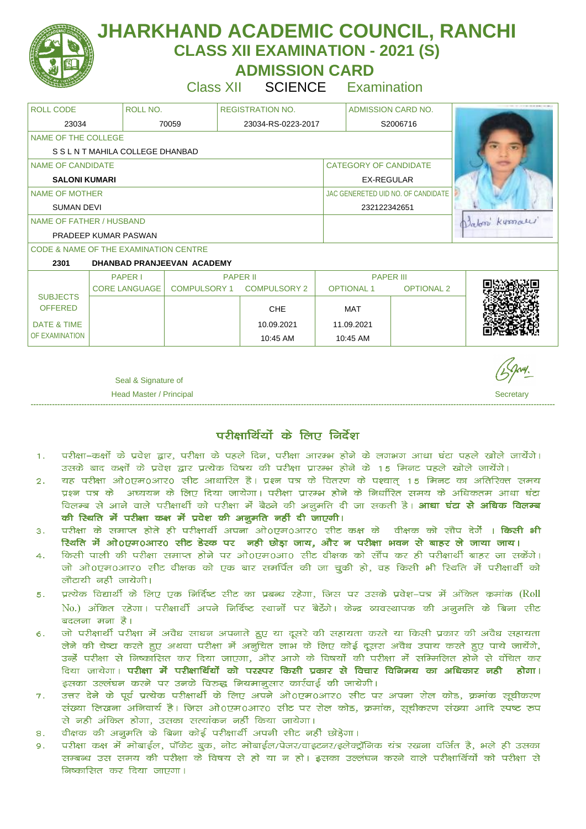

 **ADMISSION CARD** 

Class XII SCIENCE Examination

| <b>ROLL CODE</b><br>ROLL NO.       |                                                  | <b>REGISTRATION NO.</b> |                     | ADMISSION CARD NO. |                              |                                    |              |  |
|------------------------------------|--------------------------------------------------|-------------------------|---------------------|--------------------|------------------------------|------------------------------------|--------------|--|
| 23034                              |                                                  | 70059                   | 23034-RS-0223-2017  |                    |                              | S2006716                           |              |  |
| NAME OF THE COLLEGE                |                                                  |                         |                     |                    |                              |                                    |              |  |
| S S L N T MAHILA COLLEGE DHANBAD   |                                                  |                         |                     |                    |                              |                                    |              |  |
| NAME OF CANDIDATE                  |                                                  |                         |                     |                    | <b>CATEGORY OF CANDIDATE</b> |                                    |              |  |
| <b>SALONI KUMARI</b>               |                                                  |                         |                     | <b>EX-REGULAR</b>  |                              |                                    |              |  |
| <b>NAME OF MOTHER</b>              |                                                  |                         |                     |                    |                              | JAC GENERETED UID NO. OF CANDIDATE |              |  |
| <b>SUMAN DEVI</b>                  |                                                  |                         |                     |                    | 232122342651                 |                                    |              |  |
| NAME OF FATHER / HUSBAND           |                                                  |                         |                     |                    |                              |                                    | Datom Kymall |  |
| PRADEEP KUMAR PASWAN               |                                                  |                         |                     |                    |                              |                                    |              |  |
|                                    | <b>CODE &amp; NAME OF THE EXAMINATION CENTRE</b> |                         |                     |                    |                              |                                    |              |  |
| DHANBAD PRANJEEVAN ACADEMY<br>2301 |                                                  |                         |                     |                    |                              |                                    |              |  |
|                                    | <b>PAPER I</b>                                   |                         | <b>PAPER II</b>     |                    | <b>PAPER III</b>             |                                    |              |  |
| <b>SUBJECTS</b>                    | <b>CORE LANGUAGE</b>                             | <b>COMPULSORY 1</b>     | <b>COMPULSORY 2</b> |                    | <b>OPTIONAL1</b>             | <b>OPTIONAL 2</b>                  |              |  |
| <b>OFFERED</b>                     |                                                  |                         | <b>CHE</b>          |                    | MAT                          |                                    |              |  |
| <b>DATE &amp; TIME</b>             |                                                  |                         | 10.09.2021          |                    | 11.09.2021                   |                                    |              |  |
| OF EXAMINATION                     |                                                  |                         | 10:45 AM            |                    | 10:45 AM                     |                                    |              |  |

Seal & Signature of

**Head Master / Principal Secretary** 3 and 3 and 3 and 3 and 3 and 3 and 3 and 3 and 3 and 3 and 3 and 3 and 3 and 3 and 3 and 3 and 3 and 3 and 3 and 3 and 3 and 3 and 3 and 3 and 3 and 3 and 3 and 3 and 3 and 3 and 3 and ----------------------------------------------------------------------------------------------------------------------------------------------------------------------------------------------------

परीक्षार्थियों के लिए निर्देश

- परीक्षा–कक्षों के प्रवेश द्वार, परीक्षा के पहले दिन, परीक्षा आरम्भ होने के लगभग आधा घंटा पहले खोले जायेंगे।  $\mathbf{1}$ . उसके बाद कक्षों के प्रवेश द्वार प्रत्येक विषय की परीक्षा प्रारम्भ होने के 15 मिनट पहले खोले जायेंगे।
- चह परीक्षा ओ0एम0आर0 सीट आधारित है। प्रश्न पत्र के वितरण के पश्चात् 15 मिनट का अतिरिक्त समय  $\overline{2}$ . प्रश्न पत्र के अघ्ययन के लिए दिया जायेगा। परीक्षा प्रारम्भ होने के निर्धारित समय के अधिकतम आधा घंटा विलम्ब से आने वाले परीक्षार्थी को परीक्षा में बैठने की अनुमति दी जा सकती है। **आधा घंटा से अधिक विलम्ब** की स्थिति में परीक्षा कक्ष में प्रवेश की अनुमति नहीं दी जाएगी।
- परीक्षा के समाप्त होते ही परीक्षार्थी अपना ओ0एम0आर0 सीट कक्ष के वीक्षक को सौप दे**ं । किसी भी**  $3.$ रिथति में ओ0एम0आर0 सीट डेस्क पर नही छोड़ा जाय, और न परीक्षा भवन से बाहर ले जाया जाय।
- किसी पाली की परीक्षा समाप्त होने पर ओ0एम0आ0 सीट वीक्षक को सौंप कर ही परीक्षार्थी बाहर जा सकेंगे।  $\overline{4}$ जो ओ०एम०आर० सीट वीक्षक को एक बार समर्पित की जा चुकी हो, वह किसी भी स्थिति में परीक्षार्थी को लौटायी नहीं जायेगी।
- प्रत्येक विद्यार्थी के लिए एक निर्दिष्ट सीट का प्रबन्ध रहेगा, जिस पर उसके प्रवेश–पत्र में अंकित कमांक (Roll  $5.$ No.) अंकित रहेगा। परीक्षार्थी अपने निर्दिष्ट स्थानों पर बैठेंगे। केन्द्र व्यवस्थापक की अनुमति के बिना सीट बदलना मना है।
- जो परीक्षार्थी परीक्षा में अवैध साधन अपनाते हुए या दूसरे की सहायता करते या किसी प्रकार की अवैध सहायता  $6.$ लेने की चेष्टा करते हुए अथवा परीक्षा में अनुचित लाभ के लिए कोई दूसरा अवैध उपाय करते हुए पाये जायेंगे, उन्हें परीक्षा से निष्कासित कर दिया जाएगा, और आगे के विषयों की परीक्षा में सम्मिलित होने से वंचित कर दिया जायेगा। **परीक्षा में परीक्षार्थियों को परस्पर किसी प्रकार से विचार विनिमय का अधिकार नही होगा।** इसका उल्लंघन करने पर उनके विरुद्ध नियमानूसार कार्रवाई की जायेगी।
- उत्तर देने के पूर्व प्रत्येक परीक्षार्थी के लिए अपने ओ0एम0आर0 सीट पर अपना रोल कोड, क्रमांक सूचीकरण  $7.$ संख्या लिखना अनिवार्य है। जिस ओ०एम०आर० सीट पर रोल कोड, क्रमांक, सूचीकरण संख्या आदि स्पष्ट रुप से नही अंकित होगा, उसका सत्यांकन नहीं किया जायेगा।
- वीक्षक की अनूमति के बिना कोई परीक्षार्थी अपनी सीट नहीं छोड़ेगा।  $\mathbf{R}$ .
- परीक्षा कक्ष में मोबाईल, पॉकेट बुक, नोट मोबाईल/पेजर/वाइटनर/इलेक्ट्रॉनिक यंत्र रखना वर्जित है, भले ही उसका  $Q<sub>1</sub>$ सम्बन्ध उस समय की परीक्षा के विषय से हो या न हो। इसका उल्लंघन करने वाले परीक्षार्थियों को परीक्षा से निष्कासित कर दिया जाएगा।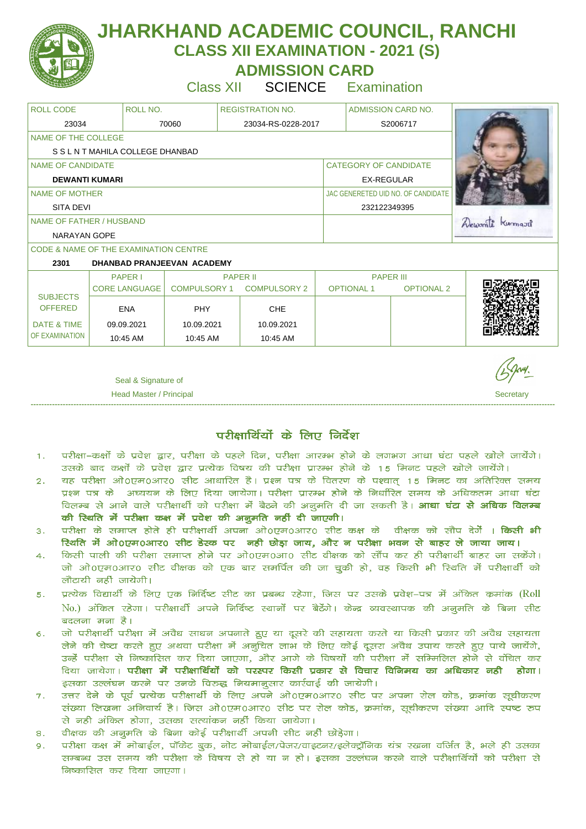

 **ADMISSION CARD** 

Class XII SCIENCE Examination

| ROLL NO.<br><b>ROLL CODE</b><br>ADMISSION CARD NO.<br><b>REGISTRATION NO.</b><br>23034<br>70060<br>23034-RS-0228-2017<br>S2006717<br>NAME OF THE COLLEGE |                |
|----------------------------------------------------------------------------------------------------------------------------------------------------------|----------------|
|                                                                                                                                                          |                |
|                                                                                                                                                          |                |
|                                                                                                                                                          |                |
| S S L N T MAHILA COLLEGE DHANBAD                                                                                                                         |                |
| <b>CATEGORY OF CANDIDATE</b><br>NAME OF CANDIDATE                                                                                                        |                |
| <b>DEWANTI KUMARI</b><br>EX-REGULAR                                                                                                                      |                |
| JAC GENERETED UID NO. OF CANDIDATE<br>NAME OF MOTHER                                                                                                     |                |
| <b>SITA DEVI</b><br>232122349395                                                                                                                         |                |
| <b>NAME OF FATHER / HUSBAND</b>                                                                                                                          | Dewant Kurmard |
| <b>NARAYAN GOPE</b>                                                                                                                                      |                |
| <b>CODE &amp; NAME OF THE EXAMINATION CENTRE</b>                                                                                                         |                |
| 2301<br>DHANBAD PRANJEEVAN ACADEMY                                                                                                                       |                |
| <b>PAPER I</b><br><b>PAPER II</b><br><b>PAPER III</b>                                                                                                    |                |
| <b>COMPULSORY 1</b><br><b>OPTIONAL1</b><br><b>CORE LANGUAGE</b><br><b>COMPULSORY 2</b><br><b>OPTIONAL 2</b><br><b>SUBJECTS</b>                           |                |
| <b>OFFERED</b><br><b>ENA</b><br><b>PHY</b><br><b>CHE</b>                                                                                                 |                |
| <b>DATE &amp; TIME</b><br>09.09.2021<br>10.09.2021<br>10.09.2021                                                                                         |                |
| OF EXAMINATION                                                                                                                                           |                |
| 10:45 AM<br>10:45 AM<br>10:45 AM                                                                                                                         |                |

 Seal & Signature of **Head Master / Principal Secretary** 3 and 3 and 3 and 3 and 3 and 3 and 3 and 3 and 3 and 3 and 3 and 3 and 3 and 3 and 3 and 3 and 3 and 3 and 3 and 3 and 3 and 3 and 3 and 3 and 3 and 3 and 3 and 3 and 3 and 3 and 3 and

परीक्षार्थियों के लिए निर्देश

----------------------------------------------------------------------------------------------------------------------------------------------------------------------------------------------------

- परीक्षा–कक्षों के प्रवेश द्वार, परीक्षा के पहले दिन, परीक्षा आरम्भ होने के लगभग आधा घंटा पहले खोले जायेंगे।  $\mathbf{1}$ . उसके बाद कक्षों के प्रवेश द्वार प्रत्येक विषय की परीक्षा प्रारम्भ होने के 15 मिनट पहले खोले जायेंगे।
- चह परीक्षा ओ0एम0आर0 सीट आधारित है। प्रश्न पत्र के वितरण के पश्चात् 15 मिनट का अतिरिक्त समय  $\overline{2}$ . प्रश्न पत्र के अघ्ययन के लिए दिया जायेगा। परीक्षा प्रारम्भ होने के निर्धारित समय के अधिकतम आधा घंटा विलम्ब से आने वाले परीक्षार्थी को परीक्षा में बैठने की अनुमति दी जा सकती है। **आधा घंटा से अधिक विलम्ब** की स्थिति में परीक्षा कक्ष में प्रवेश की अनुमति नहीं दी जाएगी।
- परीक्षा के समाप्त होते ही परीक्षार्थी अपना ओ0एम0आर0 सीट कक्ष के वीक्षक को सौप दे**ं । किसी भी**  $3.$ रिथति में ओ0एम0आर0 सीट डेस्क पर नही छोड़ा जाय, और न परीक्षा भवन से बाहर ले जाया जाय।
- किसी पाली की परीक्षा समाप्त होने पर ओ0एम0आ0 सीट वीक्षक को सौंप कर ही परीक्षार्थी बाहर जा सकेंगे।  $\overline{4}$ जो ओ०एम०आर० सीट वीक्षक को एक बार समर्पित की जा चुकी हो, वह किसी भी स्थिति में परीक्षार्थी को लौटायी नहीं जायेगी।
- प्रत्येक विद्यार्थी के लिए एक निर्दिष्ट सीट का प्रबन्ध रहेगा, जिस पर उसके प्रवेश–पत्र में अंकित कमांक (Roll  $5.$ No.) अंकित रहेगा। परीक्षार्थी अपने निर्दिष्ट स्थानों पर बैठेंगे। केन्द्र व्यवस्थापक की अनुमति के बिना सीट बदलना मना है।
- जो परीक्षार्थी परीक्षा में अवैध साधन अपनाते हुए या दूसरे की सहायता करते या किसी प्रकार की अवैध सहायता  $6.$ लेने की चेष्टा करते हुए अथवा परीक्षा में अनुचित लाभ के लिए कोई दूसरा अवैध उपाय करते हुए पाये जायेंगे, उन्हें परीक्षा से निष्कासित कर दिया जाएगा, और आगे के विषयों की परीक्षा में सम्मिलित होने से वंचित कर दिया जायेगा। **परीक्षा में परीक्षार्थियों को परस्पर किसी प्रकार से विचार विनिमय का अधिकार नही होगा।** इसका उल्लंघन करने पर उनके विरुद्ध नियमानूसार कार्रवाई की जायेगी।
- उत्तर देने के पूर्व प्रत्येक परीक्षार्थी के लिए अपने ओ0एम0आर0 सीट पर अपना रोल कोड, क्रमांक सूचीकरण  $7.$ संख्या लिखना अनिवार्य है। जिस ओ०एम०आर० सीट पर रोल कोड, क्रमांक, सूचीकरण संख्या आदि स्पष्ट रुप से नही अंकित होगा, उसका सत्यांकन नहीं किया जायेगा।
- वीक्षक की अनूमति के बिना कोई परीक्षार्थी अपनी सीट नहीं छोड़ेगा।  $\mathbf{R}$ .
- परीक्षा कक्ष में मोबाईल, पॉकेट बुक, नोट मोबाईल/पेजर/वाइटनर/इलेक्ट्रॉनिक यंत्र रखना वर्जित है, भले ही उसका  $Q<sub>1</sub>$ सम्बन्ध उस समय की परीक्षा के विषय से हो या न हो। इसका उल्लंघन करने वाले परीक्षार्थियों को परीक्षा से निष्कासित कर दिया जाएगा।